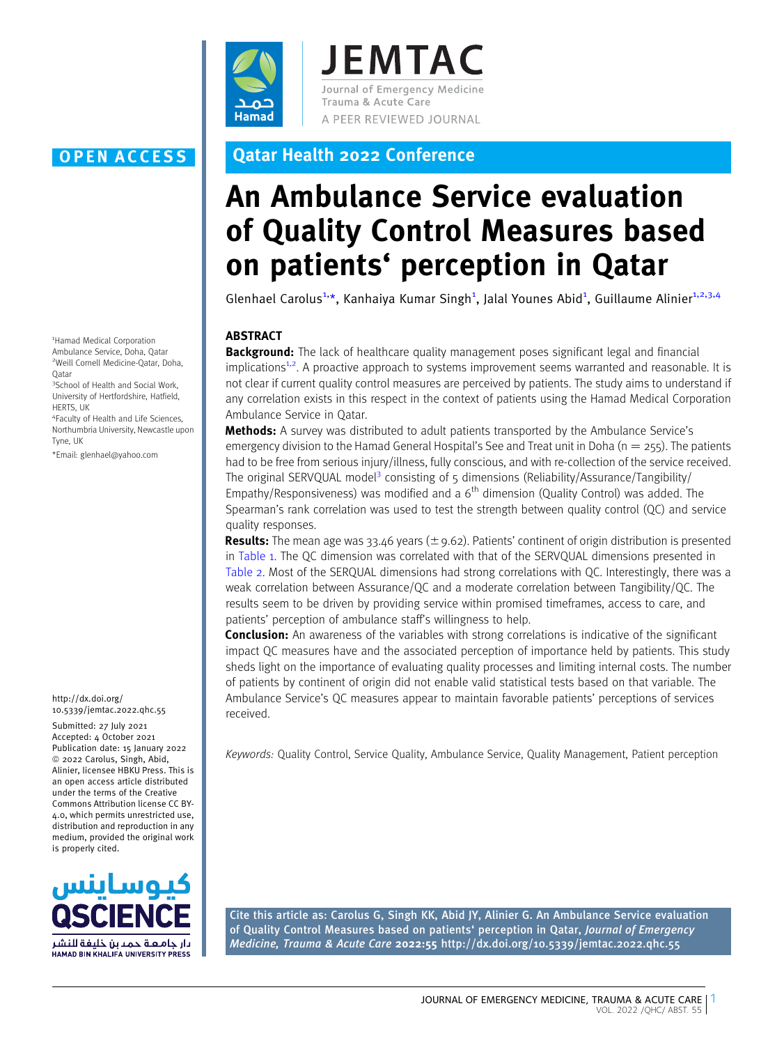

**JEMTAC** Journal of Emergency Medicine Trauma & Acute Care A PEER REVIEWED JOURNAL

# OPEN ACCESS Qatar Health 2022 Conference

# An Ambulance Service evaluation of Quality Control Measures based on patients' perception in Qatar

Glenhael Carolus<sup>1,\*</sup>, Kanhaiya Kumar Singh<sup>1</sup>, Jalal Younes Abid<sup>1</sup>, Guillaume Alinier<sup>1,2,3,4</sup>

## ABSTRACT

**Background:** The lack of healthcare quality management poses significant legal and financial implications<sup>1,2</sup>. A proactive approach to systems improvement seems warranted and reasonable. It is [not clear if current quality control measures are perceived by patients. The study aims to understand if](#page-2-0) [any correlation exists in this respect in the context of patients using the Hamad Medical Corporation](#page-2-0) [Ambulance Service in Qatar.](#page-2-0)

**[Me](#page-2-0)thods:** [A survey was distributed to adult patients transported by the Ambulance Service's](#page-2-0) emergency division to the Hamad General Hospital's See and Treat unit in Doha ( $n = 255$ ). The patients [had to be free from serious injury/illness, fully conscious, and with re-collection of the service received.](#page-2-0) [The](#page-2-0) [original](#page-2-0) [SERVQUAL](#page-2-0) [model](#page-2-0)<sup>3</sup> consisting of  $\overline{s}$  dimensions (Reliability/Assurance/Tangibility/ [Empathy/Responsiveness\)](#page-2-0) [was](#page-2-0) [modified](#page-2-0) [and](#page-2-0) [a](#page-2-0)  $6<sup>th</sup>$  $6<sup>th</sup>$  [dimension \(Quality Control\) was added. The](#page-2-0) [Spearman's rank correlation was used to test the strength between quality control \(QC\) and service](#page-2-0) [quality responses.](#page-2-0)

**[Re](#page-2-0)sults:** [The mean age was 33.46 years \(](#page-2-0) $\pm$  [9.62\). Patients' continent of origin distribution is presented](#page-2-0) in [Table 1. The QC dimension was correlated with that of the SERVQUAL dimensions presented in](#page-1-0) [Table 2. Most of the SERQUAL dimensions had strong correlations with QC. Interestingly, there was a](#page-1-0) [weak correlation between Assurance/QC and a moderate correlation between Tangibility/QC. The](#page-1-0) [results seem to be driven by providing service within promised timeframes, access to care, and](#page-1-0) [patients' perception of ambulance staff's willingness to help.](#page-1-0)

**[Co](#page-1-0)nclusion:** [An awareness of the variables with strong correlations is indicative of the significant](#page-1-0) [impact QC measures have and the associated perception of importance held by patients. This study](#page-1-0) [sheds light on the importance of evaluating quality processes and limiting internal costs. The number](#page-1-0) [of patients by continent of origin did not enable valid statistical tests based on that variable. The](#page-1-0) [Ambulance Service's QC measures appear to maintain favorable patients' perceptions of services](#page-1-0) [received.](#page-1-0)

Keywords: Quality Control, Service Quality, Ambulance Service, Quality Management, Patient perception

Cite this article as: Carolus G, Singh KK, Abid JY, Alinier G. An Ambulance Service evaluation of Quality Control Measures based on patients' perception in Qatar, Journal of Emergency Medicine, Trauma & Acute Care 2022:55 http://dx.doi.org/10.5339/jemtac.2022.qhc.55

1 Hamad Medical Corporation Ambulance Service, Doha, Qatar 2 Weill Cornell Medicine-Qatar, Doha, Qatar

<sup>3</sup>School of Health and Social Work, University of Hertfordshire, Hatfield, HERTS, UK

4 Faculty of Health and Life Sciences, Northumbria University, Newcastle upon Tyne, UK

\*Email: glenhael@yahoo.com

#### http://dx.doi.org/ 10.5339/jemtac.2022.qhc.55

Submitted: 27 July 2021 Accepted: 4 October 2021 Publication date: 15 January 2022  $©$  2022 Carolus, Singh, Abid, Alinier, licensee HBKU Press. This is an open access article distributed under the terms of the Creative Commons Attribution license CC BY-4.0, which permits unrestricted use, distribution and reproduction in any medium, provided the original work is properly cited.

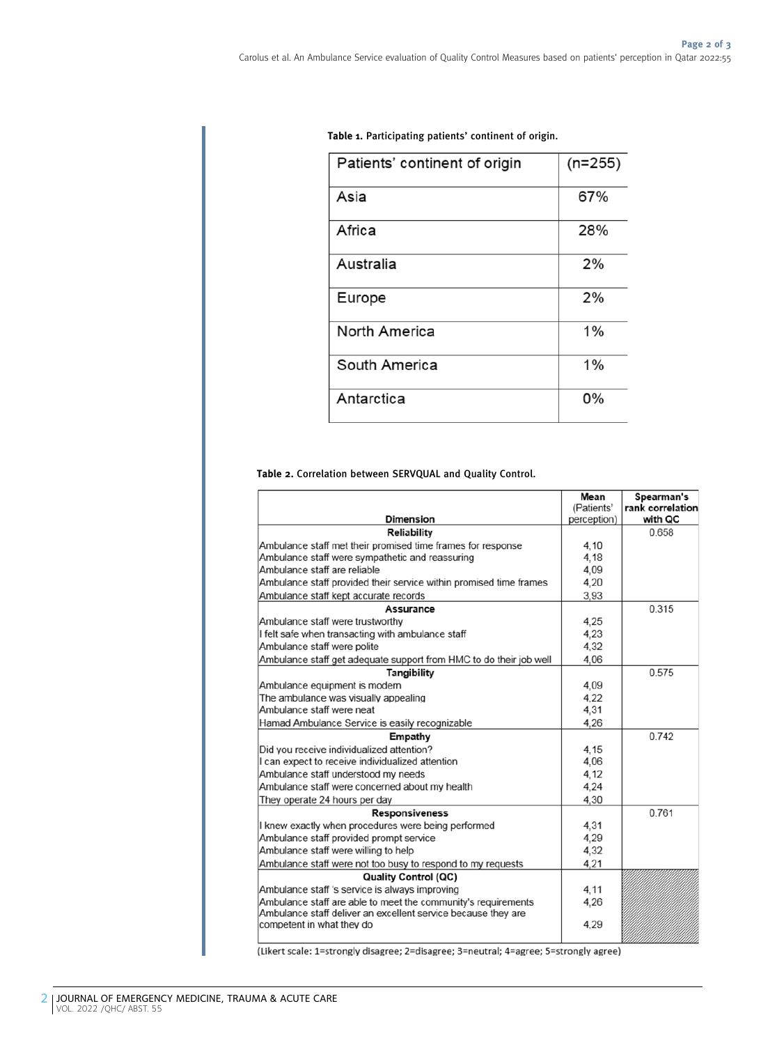| Patients' continent of origin | $(n=255)$ |
|-------------------------------|-----------|
| Asia                          | 67%       |
| Africa                        | 28%       |
| Australia                     | 2%        |
| Europe                        | 2%        |
| North America                 | 1%        |
| South America                 | 1%        |
| Antarctica                    | 0%        |

<span id="page-1-0"></span>Table 1. Participating patients' continent of origin.

## Table 2. Correlation between SERVQUAL and Quality Control.

|                                                                    | Mean        | Spearman's       |
|--------------------------------------------------------------------|-------------|------------------|
|                                                                    | (Patients'  | rank correlation |
| <b>Dimension</b>                                                   | perception) | with QC          |
| Reliability                                                        |             | 0.658            |
| Ambulance staff met their promised time frames for response        | 4.10        |                  |
| Ambulance staff were sympathetic and reassuring                    | 4.18        |                  |
| Ambulance staff are reliable                                       | 4.09        |                  |
| Ambulance staff provided their service within promised time frames | 4,20        |                  |
| Ambulance staff kept accurate records                              | 3,93        |                  |
| Assurance                                                          |             | 0.315            |
| Ambulance staff were trustworthy                                   | 4.25        |                  |
| I felt safe when transacting with ambulance staff                  | 4,23        |                  |
| Ambulance staff were polite                                        | 4.32        |                  |
| Ambulance staff get adequate support from HMC to do their job well | 4.06        |                  |
| Tangibility                                                        |             | 0.575            |
| Ambulance equipment is modern                                      | 4,09        |                  |
| The ambulance was visually appealing                               | 4.22        |                  |
| Ambulance staff were neat                                          | 4,31        |                  |
| Hamad Ambulance Service is easily recognizable                     | 4.26        |                  |
| Empathy                                                            |             | 0.742            |
| Did you receive individualized attention?                          | 4.15        |                  |
| I can expect to receive individualized attention                   | 4.06        |                  |
| Ambulance staff understood my needs                                | 4,12        |                  |
| Ambulance staff were concerned about my health                     | 4,24        |                  |
| They operate 24 hours per day                                      | 4.30        |                  |
| <b>Responsiveness</b>                                              |             | 0.761            |
| I knew exactly when procedures were being performed                | 4,31        |                  |
| Ambulance staff provided prompt service                            | 4,29        |                  |
| Ambulance staff were willing to help                               | 4,32        |                  |
| Ambulance staff were not too busy to respond to my requests        | 4,21        |                  |
| <b>Quality Control (QC)</b>                                        |             |                  |
| Ambulance staff 's service is always improving                     | 4.11        |                  |
| Ambulance staff are able to meet the community's requirements      | 4,26        |                  |
| Ambulance staff deliver an excellent service because they are      |             |                  |
| competent in what they do                                          | 4.29        |                  |
|                                                                    |             |                  |

(Likert scale: 1=strongly disagree; 2=disagree; 3=neutral; 4=agree; 5=strongly agree)